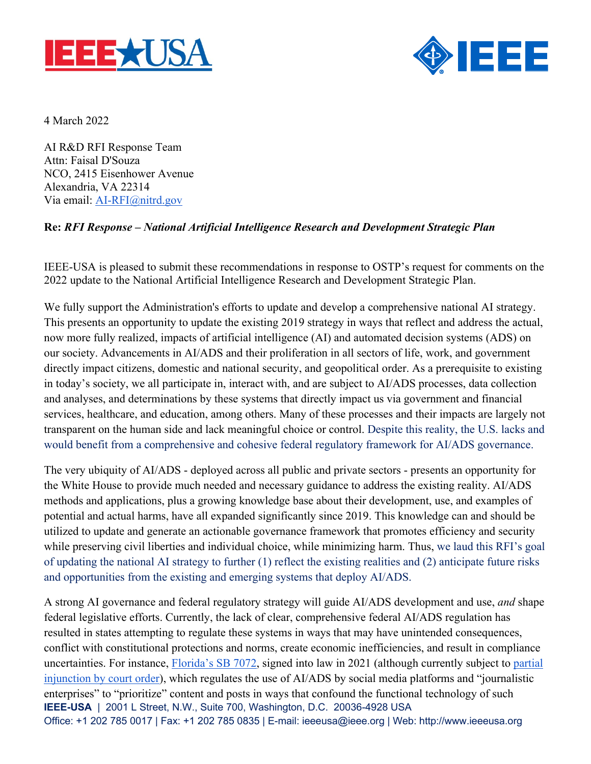



4 March 2022

AI R&D RFI Response Team Attn: Faisal D'Souza NCO, 2415 Eisenhower Avenue Alexandria, VA 22314 Via email: AI-RFI@nitrd.gov

### **Re:** *RFI Response – National Artificial Intelligence Research and Development Strategic Plan*

IEEE-USA is pleased to submit these recommendations in response to OSTP's request for comments on the 2022 update to the National Artificial Intelligence Research and Development Strategic Plan.

We fully support the Administration's efforts to update and develop a comprehensive national AI strategy. This presents an opportunity to update the existing 2019 strategy in ways that reflect and address the actual, now more fully realized, impacts of artificial intelligence (AI) and automated decision systems (ADS) on our society. Advancements in AI/ADS and their proliferation in all sectors of life, work, and government directly impact citizens, domestic and national security, and geopolitical order. As a prerequisite to existing in today's society, we all participate in, interact with, and are subject to AI/ADS processes, data collection and analyses, and determinations by these systems that directly impact us via government and financial services, healthcare, and education, among others. Many of these processes and their impacts are largely not transparent on the human side and lack meaningful choice or control. Despite this reality, the U.S. lacks and would benefit from a comprehensive and cohesive federal regulatory framework for AI/ADS governance.

The very ubiquity of AI/ADS - deployed across all public and private sectors - presents an opportunity for the White House to provide much needed and necessary guidance to address the existing reality. AI/ADS methods and applications, plus a growing knowledge base about their development, use, and examples of potential and actual harms, have all expanded significantly since 2019. This knowledge can and should be utilized to update and generate an actionable governance framework that promotes efficiency and security while preserving civil liberties and individual choice, while minimizing harm. Thus, we laud this RFI's goal of updating the national AI strategy to further (1) reflect the existing realities and (2) anticipate future risks and opportunities from the existing and emerging systems that deploy AI/ADS.

**IEEE-USA** | 2001 L Street, N.W., Suite 700, Washington, D.C. 20036-4928 USA Office: +1 202 785 0017 | Fax: +1 202 785 0835 | E-mail: ieeeusa@ieee.org | Web: http://www.ieeeusa.org A strong AI governance and federal regulatory strategy will guide AI/ADS development and use, *and* shape federal legislative efforts. Currently, the lack of clear, comprehensive federal AI/ADS regulation has resulted in states attempting to regulate these systems in ways that may have unintended consequences, conflict with constitutional protections and norms, create economic inefficiencies, and result in compliance uncertainties. For instance, Florida's SB 7072, signed into law in 2021 (although currently subject to partial injunction by court order), which regulates the use of AI/ADS by social media platforms and "journalistic enterprises" to "prioritize" content and posts in ways that confound the functional technology of such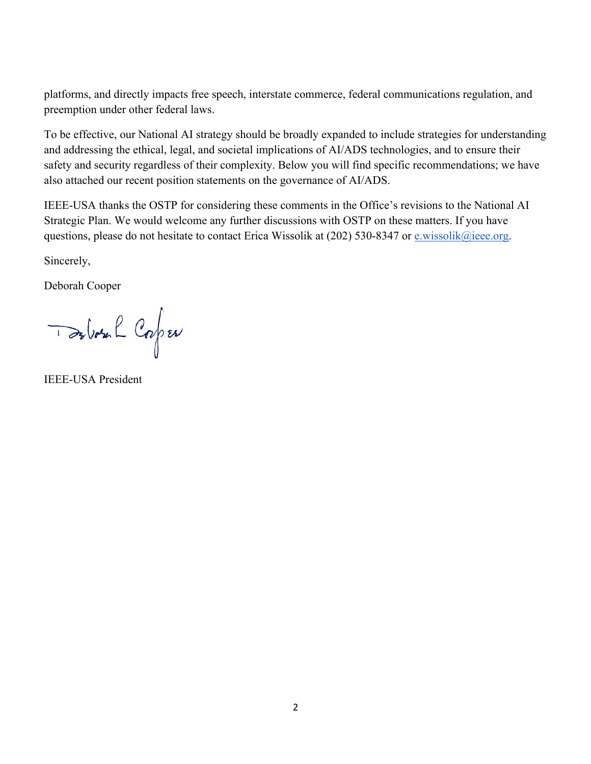platforms, and directly impacts free speech, interstate commerce, federal communications regulation, and preemption under other federal laws.

To be effective, our National AI strategy should be broadly expanded to include strategies for understanding and addressing the ethical, legal, and societal implications of AI/ADS technologies, and to ensure their safety and security regardless of their complexity. Below you will find specific recommendations; we have also attached our recent position statements on the governance of AI/ADS.

IEEE-USA thanks the OSTP for considering these comments in the Office's revisions to the National AI Strategic Plan. We would welcome any further discussions with OSTP on these matters. If you have questions, please do not hesitate to contact Erica Wissolik at (202) 530-8347 or e.wissolik@ieee.org.

Sincerely,

Deborah Cooper

De Vote le Corper

IEEE-USA President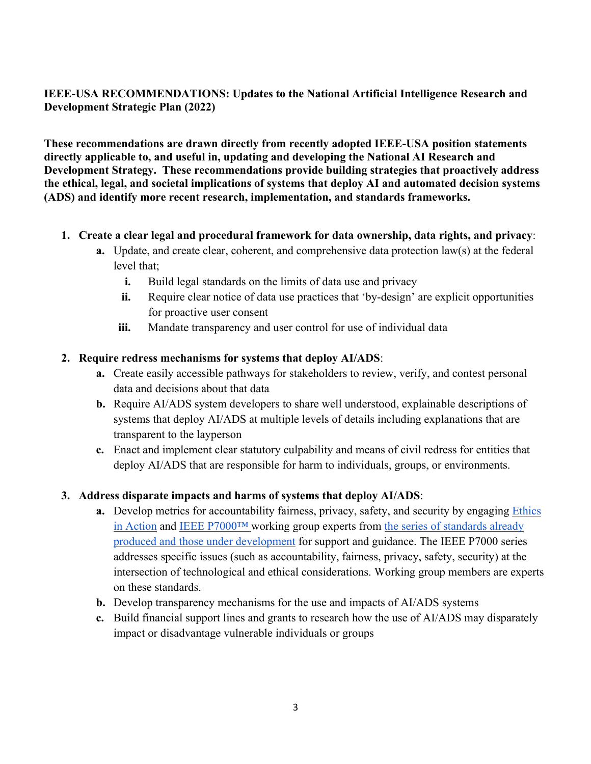### **IEEE-USA RECOMMENDATIONS: Updates to the National Artificial Intelligence Research and Development Strategic Plan (2022)**

**These recommendations are drawn directly from recently adopted IEEE-USA position statements directly applicable to, and useful in, updating and developing the National AI Research and Development Strategy. These recommendations provide building strategies that proactively address the ethical, legal, and societal implications of systems that deploy AI and automated decision systems (ADS) and identify more recent research, implementation, and standards frameworks.**

- **1. Create a clear legal and procedural framework for data ownership, data rights, and privacy**:
	- **a.** Update, and create clear, coherent, and comprehensive data protection law(s) at the federal level that;
		- **i.** Build legal standards on the limits of data use and privacy
		- **ii.** Require clear notice of data use practices that 'by-design' are explicit opportunities for proactive user consent
		- **iii.** Mandate transparency and user control for use of individual data

#### **2. Require redress mechanisms for systems that deploy AI/ADS**:

- **a.** Create easily accessible pathways for stakeholders to review, verify, and contest personal data and decisions about that data
- **b.** Require AI/ADS system developers to share well understood, explainable descriptions of systems that deploy AI/ADS at multiple levels of details including explanations that are transparent to the layperson
- **c.** Enact and implement clear statutory culpability and means of civil redress for entities that deploy AI/ADS that are responsible for harm to individuals, groups, or environments.

### **3. Address disparate impacts and harms of systems that deploy AI/ADS**:

- **a.** Develop metrics for accountability fairness, privacy, safety, and security by engaging Ethics in Action and IEEE P7000™ working group experts from the series of standards already produced and those under development for support and guidance. The IEEE P7000 series addresses specific issues (such as accountability, fairness, privacy, safety, security) at the intersection of technological and ethical considerations. Working group members are experts on these standards.
- **b.** Develop transparency mechanisms for the use and impacts of AI/ADS systems
- **c.** Build financial support lines and grants to research how the use of AI/ADS may disparately impact or disadvantage vulnerable individuals or groups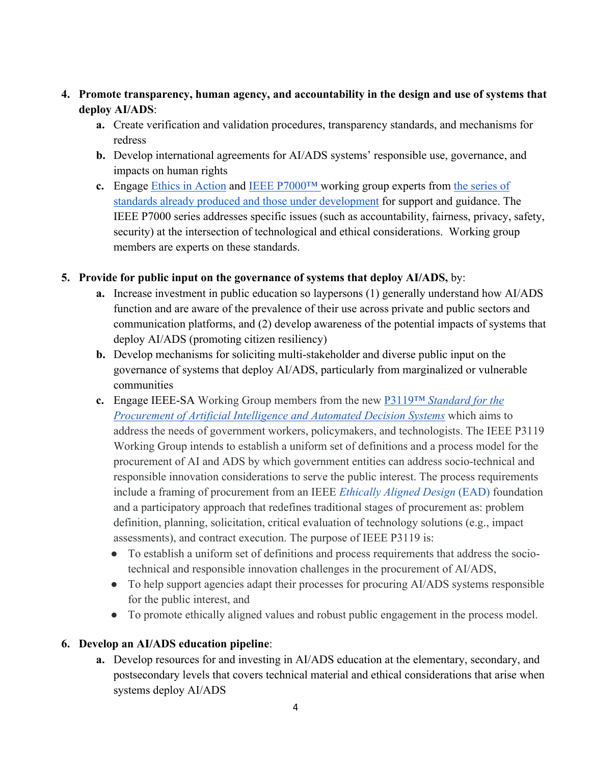## **4. Promote transparency, human agency, and accountability in the design and use of systems that deploy AI/ADS**:

- **a.** Create verification and validation procedures, transparency standards, and mechanisms for redress
- **b.** Develop international agreements for AI/ADS systems' responsible use, governance, and impacts on human rights
- **c.** Engage Ethics in Action and IEEE P7000™ working group experts from the series of standards already produced and those under development for support and guidance. The IEEE P7000 series addresses specific issues (such as accountability, fairness, privacy, safety, security) at the intersection of technological and ethical considerations. Working group members are experts on these standards.

### **5. Provide for public input on the governance of systems that deploy AI/ADS,** by:

- **a.** Increase investment in public education so laypersons (1) generally understand how AI/ADS function and are aware of the prevalence of their use across private and public sectors and communication platforms, and (2) develop awareness of the potential impacts of systems that deploy AI/ADS (promoting citizen resiliency)
- **b.** Develop mechanisms for soliciting multi-stakeholder and diverse public input on the governance of systems that deploy AI/ADS, particularly from marginalized or vulnerable communities
- **c.** Engage IEEE-SA Working Group members from the new P3119™ *Standard for the Procurement of Artificial Intelligence and Automated Decision Systems* which aims to address the needs of government workers, policymakers, and technologists. The IEEE P3119 Working Group intends to establish a uniform set of definitions and a process model for the procurement of AI and ADS by which government entities can address socio-technical and responsible innovation considerations to serve the public interest. The process requirements include a framing of procurement from an IEEE *Ethically Aligned Design* (EAD) foundation and a participatory approach that redefines traditional stages of procurement as: problem definition, planning, solicitation, critical evaluation of technology solutions (e.g., impact assessments), and contract execution. The purpose of IEEE P3119 is:
	- To establish a uniform set of definitions and process requirements that address the sociotechnical and responsible innovation challenges in the procurement of AI/ADS,
	- To help support agencies adapt their processes for procuring AI/ADS systems responsible for the public interest, and
	- To promote ethically aligned values and robust public engagement in the process model.

# **6. Develop an AI/ADS education pipeline**:

**a.** Develop resources for and investing in AI/ADS education at the elementary, secondary, and postsecondary levels that covers technical material and ethical considerations that arise when systems deploy AI/ADS